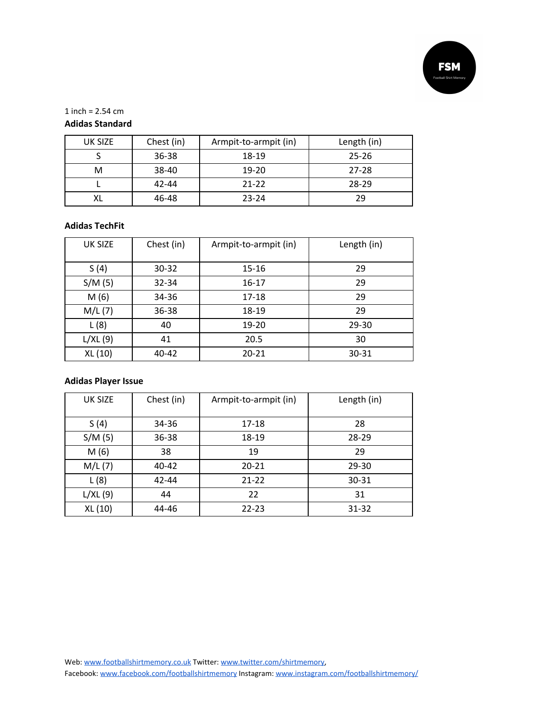

1 inch =  $2.54$  cm

## **Adidas Standard**

| <b>UK SIZE</b> | Chest (in) | Armpit-to-armpit (in) | Length (in) |
|----------------|------------|-----------------------|-------------|
|                | $36 - 38$  | 18-19                 | $25 - 26$   |
| м              | 38-40      | 19-20                 | $27 - 28$   |
|                | 42-44      | $21 - 22$             | 28-29       |
|                | 46-48      | $23 - 24$             | 29          |

#### **Adidas TechFit**

| <b>UK SIZE</b> | Chest (in) | Armpit-to-armpit (in) | Length (in) |
|----------------|------------|-----------------------|-------------|
| S(4)           | $30 - 32$  | 15-16                 | 29          |
| S/M(5)         | $32 - 34$  | $16 - 17$             | 29          |
| M(6)           | 34-36      | 17-18                 | 29          |
| M/L(7)         | 36-38      | 18-19                 | 29          |
| L(8)           | 40         | 19-20                 | $29 - 30$   |
| L/XL(9)        | 41         | 20.5                  | 30          |
| XL (10)        | 40-42      | $20 - 21$             | 30-31       |

### **Adidas Player Issue**

| <b>UK SIZE</b> | Chest (in) | Armpit-to-armpit (in) | Length (in) |
|----------------|------------|-----------------------|-------------|
| S(4)           | 34-36      | 17-18                 | 28          |
| S/M(5)         | 36-38      | 18-19                 | 28-29       |
| M(6)           | 38         | 19                    | 29          |
| M/L(7)         | 40-42      | $20 - 21$             | 29-30       |
| L(8)           | 42-44      | $21 - 22$             | 30-31       |
| L/XL(9)        | 44         | 22                    | 31          |
| XL (10)        | 44-46      | 22-23                 | 31-32       |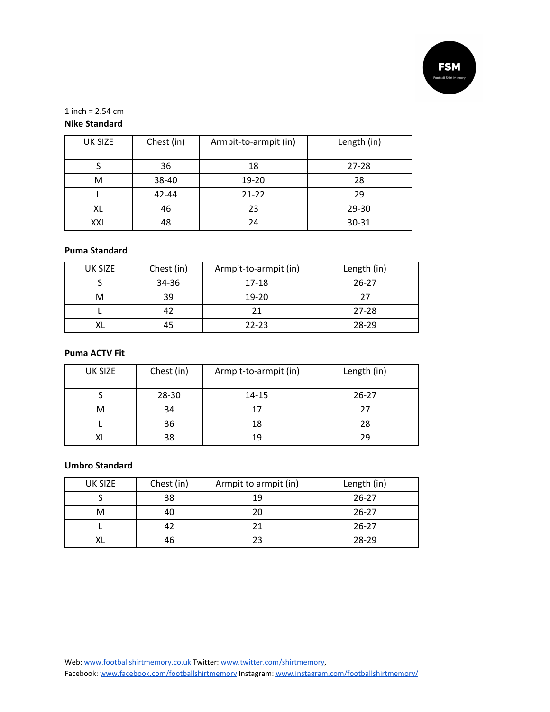

1 inch =  $2.54$  cm

# **Nike Standard**

| <b>UK SIZE</b> | Chest (in) | Armpit-to-armpit (in) | Length (in) |
|----------------|------------|-----------------------|-------------|
|                | 36         | 18                    | $27 - 28$   |
| M              | 38-40      | 19-20                 | 28          |
|                | 42-44      | $21 - 22$             | 29          |
| XL             | 46         | 23                    | $29 - 30$   |
| XXL            | 48         | 24                    | 30-31       |

### **Puma Standard**

| UK SIZE | Chest (in) | Armpit-to-armpit (in) | Length (in) |
|---------|------------|-----------------------|-------------|
|         | 34-36      | 17-18                 | $26 - 27$   |
| M       | 39         | 19-20                 | つフ          |
|         | 42         | 21                    | $27 - 28$   |
|         | 45         | $22 - 23$             | $28-29$     |

## **Puma ACTV Fit**

| <b>UK SIZE</b> | Chest (in) | Armpit-to-armpit (in) | Length (in) |
|----------------|------------|-----------------------|-------------|
|                | 28-30      | $14 - 15$             | $26 - 27$   |
| м              | 34         | 17                    | 27          |
|                | 36         | 18                    | 28          |
|                | 38         | 19                    | ንባ          |

#### **Umbro Standard**

| <b>UK SIZE</b> | Chest (in) | Armpit to armpit (in) | Length (in) |
|----------------|------------|-----------------------|-------------|
|                | 38         | 19                    | $26 - 27$   |
|                | 40         | 20                    | $26 - 27$   |
|                | 42         |                       | $26 - 27$   |
|                | 46         | つっ                    | $28-29$     |

Web: [www.footballshirtmemory.co.uk](http://www.footballshirtmemory.co.uk/) Twitter: [www.twitter.com/shirtmemory,](http://www.twitter.com/shirtmemory)

Facebook: [www.facebook.com/footballshirtmemory](http://www.facebook.com/footballshirtmemory) Instagram: [www.instagram.com/footballshirtmemory/](http://www.instagram.com/footballshirtmemory/)